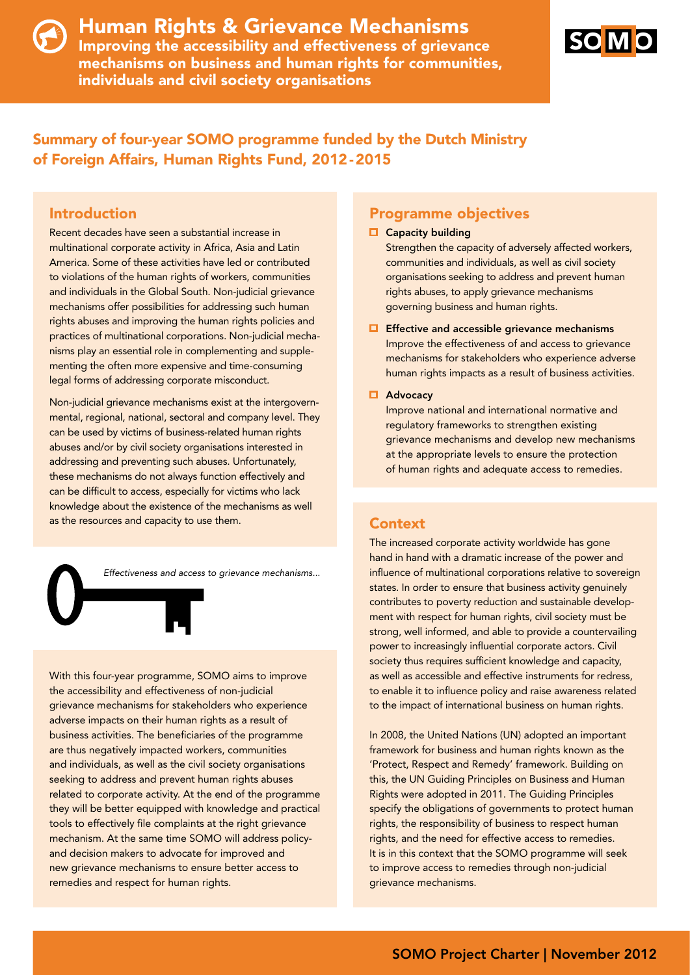



## Summary of four-year SOMO programme funded by the Dutch Ministry of Foreign Affairs, Human Rights Fund, 2012-2015

#### Introduction

Recent decades have seen a substantial increase in multinational corporate activity in Africa, Asia and Latin America. Some of these activities have led or contributed to violations of the human rights of workers, communities and individuals in the Global South. Non-judicial grievance mechanisms offer possibilities for addressing such human rights abuses and improving the human rights policies and practices of multinational corporations. Non-judicial mechanisms play an essential role in complementing and supplementing the often more expensive and time-consuming legal forms of addressing corporate misconduct.

Non-judicial grievance mechanisms exist at the intergovernmental, regional, national, sectoral and company level. They can be used by victims of business-related human rights abuses and/or by civil society organisations interested in addressing and preventing such abuses. Unfortunately, these mechanisms do not always function effectively and can be difficult to access, especially for victims who lack knowledge about the existence of the mechanisms as well as the resources and capacity to use them.

*Effectiveness and access to grievance mechanisms...*

With this four-year programme, SOMO aims to improve the accessibility and effectiveness of non-judicial grievance mechanisms for stakeholders who experience adverse impacts on their human rights as a result of business activities. The beneficiaries of the programme are thus negatively impacted workers, communities and individuals, as well as the civil society organisations seeking to address and prevent human rights abuses related to corporate activity. At the end of the programme they will be better equipped with knowledge and practical tools to effectively file complaints at the right grievance mechanism. At the same time SOMO will address policyand decision makers to advocate for improved and new grievance mechanisms to ensure better access to remedies and respect for human rights.

#### Programme objectives

#### $\Box$  Capacity building

Strengthen the capacity of adversely affected workers, communities and individuals, as well as civil society organisations seeking to address and prevent human rights abuses, to apply grievance mechanisms governing business and human rights.

 $\Box$  Effective and accessible grievance mechanisms Improve the effectiveness of and access to grievance mechanisms for stakeholders who experience adverse human rights impacts as a result of business activities.

#### **E** Advocacy

Improve national and international normative and regulatory frameworks to strengthen existing grievance mechanisms and develop new mechanisms at the appropriate levels to ensure the protection of human rights and adequate access to remedies.

The increased corporate activity worldwide has gone hand in hand with a dramatic increase of the power and influence of multinational corporations relative to sovereign states. In order to ensure that business activity genuinely contributes to poverty reduction and sustainable development with respect for human rights, civil society must be strong, well informed, and able to provide a countervailing power to increasingly influential corporate actors. Civil society thus requires sufficient knowledge and capacity, as well as accessible and effective instruments for redress, to enable it to influence policy and raise awareness related to the impact of international business on human rights.

In 2008, the United Nations (UN) adopted an important framework for business and human rights known as the 'Protect, Respect and Remedy' framework. Building on this, the UN Guiding Principles on Business and Human Rights were adopted in 2011. The Guiding Principles specify the obligations of governments to protect human rights, the responsibility of business to respect human rights, and the need for effective access to remedies. It is in this context that the SOMO programme will seek to improve access to remedies through non-judicial grievance mechanisms.